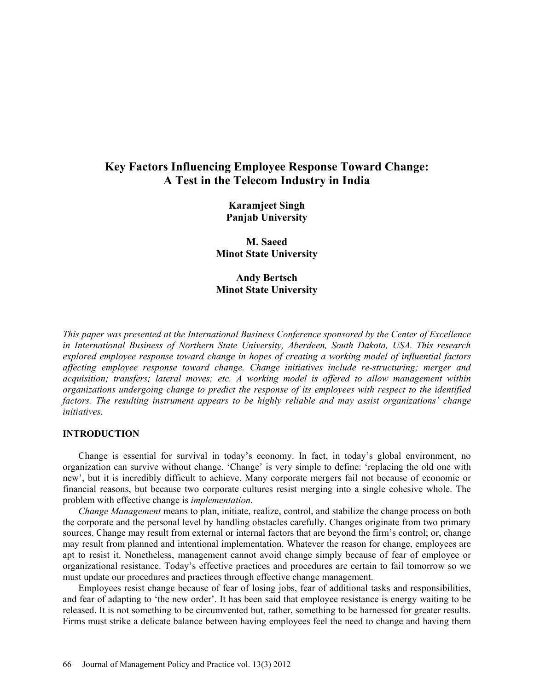# **Key Factors Influencing Employee Response Toward Change: A Test in the Telecom Industry in India**

**Karamjeet Singh Panjab University**

**M. Saeed Minot State University**

**Andy Bertsch Minot State University**

*This paper was presented at the International Business Conference sponsored by the Center of Excellence in International Business of Northern State University, Aberdeen, South Dakota, USA. This research explored employee response toward change in hopes of creating a working model of influential factors affecting employee response toward change. Change initiatives include re-structuring; merger and acquisition; transfers; lateral moves; etc. A working model is offered to allow management within organizations undergoing change to predict the response of its employees with respect to the identified factors. The resulting instrument appears to be highly reliable and may assist organizations' change initiatives.*

### **INTRODUCTION**

Change is essential for survival in today's economy. In fact, in today's global environment, no organization can survive without change. 'Change' is very simple to define: 'replacing the old one with new', but it is incredibly difficult to achieve. Many corporate mergers fail not because of economic or financial reasons, but because two corporate cultures resist merging into a single cohesive whole. The problem with effective change is *implementation*.

*Change Management* means to plan, initiate, realize, control, and stabilize the change process on both the corporate and the personal level by handling obstacles carefully. Changes originate from two primary sources. Change may result from external or internal factors that are beyond the firm's control; or, change may result from planned and intentional implementation. Whatever the reason for change, employees are apt to resist it. Nonetheless, management cannot avoid change simply because of fear of employee or organizational resistance. Today's effective practices and procedures are certain to fail tomorrow so we must update our procedures and practices through effective change management.

Employees resist change because of fear of losing jobs, fear of additional tasks and responsibilities, and fear of adapting to 'the new order'. It has been said that employee resistance is energy waiting to be released. It is not something to be circumvented but, rather, something to be harnessed for greater results. Firms must strike a delicate balance between having employees feel the need to change and having them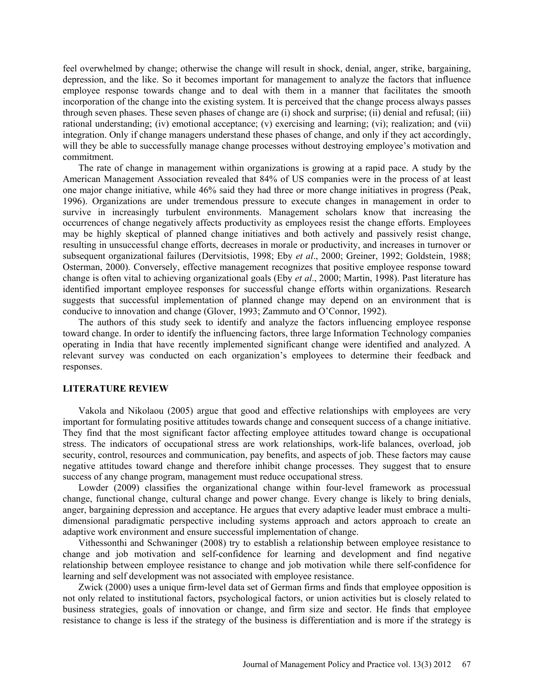feel overwhelmed by change; otherwise the change will result in shock, denial, anger, strike, bargaining, depression, and the like. So it becomes important for management to analyze the factors that influence employee response towards change and to deal with them in a manner that facilitates the smooth incorporation of the change into the existing system. It is perceived that the change process always passes through seven phases. These seven phases of change are (i) shock and surprise; (ii) denial and refusal; (iii) rational understanding; (iv) emotional acceptance; (v) exercising and learning; (vi); realization; and (vii) integration. Only if change managers understand these phases of change, and only if they act accordingly, will they be able to successfully manage change processes without destroying employee's motivation and commitment.

The rate of change in management within organizations is growing at a rapid pace. A study by the American Management Association revealed that 84% of US companies were in the process of at least one major change initiative, while 46% said they had three or more change initiatives in progress (Peak, 1996). Organizations are under tremendous pressure to execute changes in management in order to survive in increasingly turbulent environments. Management scholars know that increasing the occurrences of change negatively affects productivity as employees resist the change efforts. Employees may be highly skeptical of planned change initiatives and both actively and passively resist change, resulting in unsuccessful change efforts, decreases in morale or productivity, and increases in turnover or subsequent organizational failures (Dervitsiotis, 1998; Eby *et al*., 2000; Greiner, 1992; Goldstein, 1988; Osterman, 2000). Conversely, effective management recognizes that positive employee response toward change is often vital to achieving organizational goals (Eby *et al*., 2000; Martin, 1998). Past literature has identified important employee responses for successful change efforts within organizations. Research suggests that successful implementation of planned change may depend on an environment that is conducive to innovation and change (Glover, 1993; Zammuto and O'Connor, 1992).

The authors of this study seek to identify and analyze the factors influencing employee response toward change. In order to identify the influencing factors, three large Information Technology companies operating in India that have recently implemented significant change were identified and analyzed. A relevant survey was conducted on each organization's employees to determine their feedback and responses.

## **LITERATURE REVIEW**

Vakola and Nikolaou (2005) argue that good and effective relationships with employees are very important for formulating positive attitudes towards change and consequent success of a change initiative. They find that the most significant factor affecting employee attitudes toward change is occupational stress. The indicators of occupational stress are work relationships, work-life balances, overload, job security, control, resources and communication, pay benefits, and aspects of job. These factors may cause negative attitudes toward change and therefore inhibit change processes. They suggest that to ensure success of any change program, management must reduce occupational stress.

Lowder (2009) classifies the organizational change within four-level framework as processual change, functional change, cultural change and power change. Every change is likely to bring denials, anger, bargaining depression and acceptance. He argues that every adaptive leader must embrace a multidimensional paradigmatic perspective including systems approach and actors approach to create an adaptive work environment and ensure successful implementation of change.

Vithessonthi and Schwaninger (2008) try to establish a relationship between employee resistance to change and job motivation and self-confidence for learning and development and find negative relationship between employee resistance to change and job motivation while there self-confidence for learning and self development was not associated with employee resistance.

Zwick (2000) uses a unique firm-level data set of German firms and finds that employee opposition is not only related to institutional factors, psychological factors, or union activities but is closely related to business strategies, goals of innovation or change, and firm size and sector. He finds that employee resistance to change is less if the strategy of the business is differentiation and is more if the strategy is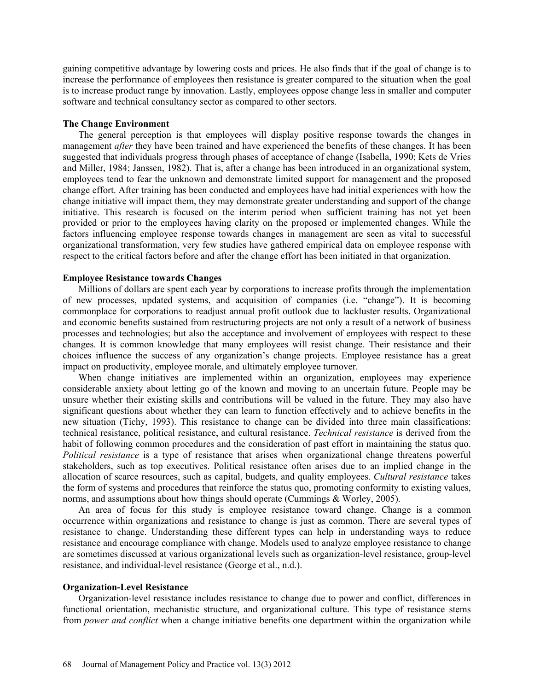gaining competitive advantage by lowering costs and prices. He also finds that if the goal of change is to increase the performance of employees then resistance is greater compared to the situation when the goal is to increase product range by innovation. Lastly, employees oppose change less in smaller and computer software and technical consultancy sector as compared to other sectors.

#### **The Change Environment**

The general perception is that employees will display positive response towards the changes in management *after* they have been trained and have experienced the benefits of these changes. It has been suggested that individuals progress through phases of acceptance of change (Isabella, 1990; Kets de Vries and Miller, 1984; Janssen, 1982). That is, after a change has been introduced in an organizational system, employees tend to fear the unknown and demonstrate limited support for management and the proposed change effort. After training has been conducted and employees have had initial experiences with how the change initiative will impact them, they may demonstrate greater understanding and support of the change initiative. This research is focused on the interim period when sufficient training has not yet been provided or prior to the employees having clarity on the proposed or implemented changes. While the factors influencing employee response towards changes in management are seen as vital to successful organizational transformation, very few studies have gathered empirical data on employee response with respect to the critical factors before and after the change effort has been initiated in that organization.

## **Employee Resistance towards Changes**

Millions of dollars are spent each year by corporations to increase profits through the implementation of new processes, updated systems, and acquisition of companies (i.e. "change"). It is becoming commonplace for corporations to readjust annual profit outlook due to lackluster results. Organizational and economic benefits sustained from restructuring projects are not only a result of a network of business processes and technologies; but also the acceptance and involvement of employees with respect to these changes. It is common knowledge that many employees will resist change. Their resistance and their choices influence the success of any organization's change projects. Employee resistance has a great impact on productivity, employee morale, and ultimately employee turnover.

When change initiatives are implemented within an organization, employees may experience considerable anxiety about letting go of the known and moving to an uncertain future. People may be unsure whether their existing skills and contributions will be valued in the future. They may also have significant questions about whether they can learn to function effectively and to achieve benefits in the new situation (Tichy, 1993). This resistance to change can be divided into three main classifications: technical resistance, political resistance, and cultural resistance. *Technical resistance* is derived from the habit of following common procedures and the consideration of past effort in maintaining the status quo. *Political resistance* is a type of resistance that arises when organizational change threatens powerful stakeholders, such as top executives. Political resistance often arises due to an implied change in the allocation of scarce resources, such as capital, budgets, and quality employees. *Cultural resistance* takes the form of systems and procedures that reinforce the status quo, promoting conformity to existing values, norms, and assumptions about how things should operate (Cummings & Worley, 2005).

An area of focus for this study is employee resistance toward change. Change is a common occurrence within organizations and resistance to change is just as common. There are several types of resistance to change. Understanding these different types can help in understanding ways to reduce resistance and encourage compliance with change. Models used to analyze employee resistance to change are sometimes discussed at various organizational levels such as organization-level resistance, group-level resistance, and individual-level resistance (George et al., n.d.).

### **Organization-Level Resistance**

Organization-level resistance includes resistance to change due to power and conflict, differences in functional orientation, mechanistic structure, and organizational culture. This type of resistance stems from *power and conflict* when a change initiative benefits one department within the organization while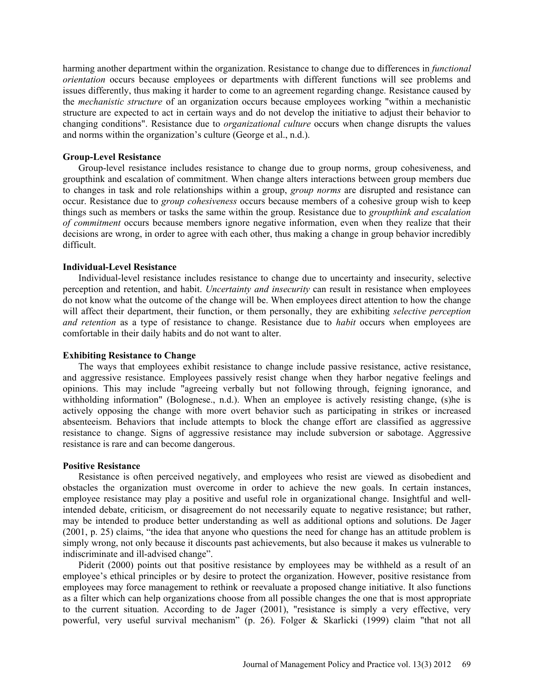harming another department within the organization. Resistance to change due to differences in *functional orientation* occurs because employees or departments with different functions will see problems and issues differently, thus making it harder to come to an agreement regarding change. Resistance caused by the *mechanistic structure* of an organization occurs because employees working "within a mechanistic structure are expected to act in certain ways and do not develop the initiative to adjust their behavior to changing conditions". Resistance due to *organizational culture* occurs when change disrupts the values and norms within the organization's culture (George et al., n.d.).

## **Group-Level Resistance**

Group-level resistance includes resistance to change due to group norms, group cohesiveness, and groupthink and escalation of commitment. When change alters interactions between group members due to changes in task and role relationships within a group, *group norms* are disrupted and resistance can occur. Resistance due to *group cohesiveness* occurs because members of a cohesive group wish to keep things such as members or tasks the same within the group. Resistance due to *groupthink and escalation of commitment* occurs because members ignore negative information, even when they realize that their decisions are wrong, in order to agree with each other, thus making a change in group behavior incredibly difficult.

## **Individual-Level Resistance**

Individual-level resistance includes resistance to change due to uncertainty and insecurity, selective perception and retention, and habit. *Uncertainty and insecurity* can result in resistance when employees do not know what the outcome of the change will be. When employees direct attention to how the change will affect their department, their function, or them personally, they are exhibiting *selective perception and retention* as a type of resistance to change. Resistance due to *habit* occurs when employees are comfortable in their daily habits and do not want to alter.

## **Exhibiting Resistance to Change**

The ways that employees exhibit resistance to change include passive resistance, active resistance, and aggressive resistance. Employees passively resist change when they harbor negative feelings and opinions. This may include "agreeing verbally but not following through, feigning ignorance, and withholding information" (Bolognese, n.d.). When an employee is actively resisting change, (s)he is actively opposing the change with more overt behavior such as participating in strikes or increased absenteeism. Behaviors that include attempts to block the change effort are classified as aggressive resistance to change. Signs of aggressive resistance may include subversion or sabotage. Aggressive resistance is rare and can become dangerous.

## **Positive Resistance**

Resistance is often perceived negatively, and employees who resist are viewed as disobedient and obstacles the organization must overcome in order to achieve the new goals. In certain instances, employee resistance may play a positive and useful role in organizational change. Insightful and wellintended debate, criticism, or disagreement do not necessarily equate to negative resistance; but rather, may be intended to produce better understanding as well as additional options and solutions. De Jager (2001, p. 25) claims, "the idea that anyone who questions the need for change has an attitude problem is simply wrong, not only because it discounts past achievements, but also because it makes us vulnerable to indiscriminate and ill-advised change".

Piderit (2000) points out that positive resistance by employees may be withheld as a result of an employee's ethical principles or by desire to protect the organization. However, positive resistance from employees may force management to rethink or reevaluate a proposed change initiative. It also functions as a filter which can help organizations choose from all possible changes the one that is most appropriate to the current situation. According to de Jager (2001), "resistance is simply a very effective, very powerful, very useful survival mechanism" (p. 26). Folger & Skarlicki (1999) claim "that not all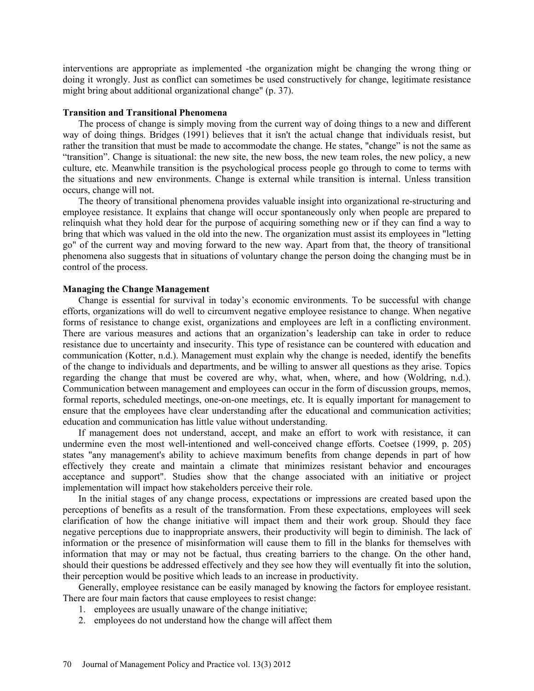interventions are appropriate as implemented -the organization might be changing the wrong thing or doing it wrongly. Just as conflict can sometimes be used constructively for change, legitimate resistance might bring about additional organizational change" (p. 37).

## **Transition and Transitional Phenomena**

The process of change is simply moving from the current way of doing things to a new and different way of doing things. Bridges (1991) believes that it isn't the actual change that individuals resist, but rather the transition that must be made to accommodate the change. He states, "change" is not the same as "transition". Change is situational: the new site, the new boss, the new team roles, the new policy, a new culture, etc. Meanwhile transition is the psychological process people go through to come to terms with the situations and new environments. Change is external while transition is internal. Unless transition occurs, change will not.

The theory of transitional phenomena provides valuable insight into organizational re-structuring and employee resistance. It explains that change will occur spontaneously only when people are prepared to relinquish what they hold dear for the purpose of acquiring something new or if they can find a way to bring that which was valued in the old into the new. The organization must assist its employees in "letting go" of the current way and moving forward to the new way. Apart from that, the theory of transitional phenomena also suggests that in situations of voluntary change the person doing the changing must be in control of the process.

#### **Managing the Change Management**

Change is essential for survival in today's economic environments. To be successful with change efforts, organizations will do well to circumvent negative employee resistance to change. When negative forms of resistance to change exist, organizations and employees are left in a conflicting environment. There are various measures and actions that an organization's leadership can take in order to reduce resistance due to uncertainty and insecurity. This type of resistance can be countered with education and communication (Kotter, n.d.). Management must explain why the change is needed, identify the benefits of the change to individuals and departments, and be willing to answer all questions as they arise. Topics regarding the change that must be covered are why, what, when, where, and how (Woldring, n.d.). Communication between management and employees can occur in the form of discussion groups, memos, formal reports, scheduled meetings, one-on-one meetings, etc. It is equally important for management to ensure that the employees have clear understanding after the educational and communication activities; education and communication has little value without understanding.

If management does not understand, accept, and make an effort to work with resistance, it can undermine even the most well-intentioned and well-conceived change efforts. Coetsee (1999, p. 205) states "any management's ability to achieve maximum benefits from change depends in part of how effectively they create and maintain a climate that minimizes resistant behavior and encourages acceptance and support". Studies show that the change associated with an initiative or project implementation will impact how stakeholders perceive their role.

In the initial stages of any change process, expectations or impressions are created based upon the perceptions of benefits as a result of the transformation. From these expectations, employees will seek clarification of how the change initiative will impact them and their work group. Should they face negative perceptions due to inappropriate answers, their productivity will begin to diminish. The lack of information or the presence of misinformation will cause them to fill in the blanks for themselves with information that may or may not be factual, thus creating barriers to the change. On the other hand, should their questions be addressed effectively and they see how they will eventually fit into the solution, their perception would be positive which leads to an increase in productivity.

Generally, employee resistance can be easily managed by knowing the factors for employee resistant. There are four main factors that cause employees to resist change:

- 1. employees are usually unaware of the change initiative;
- 2. employees do not understand how the change will affect them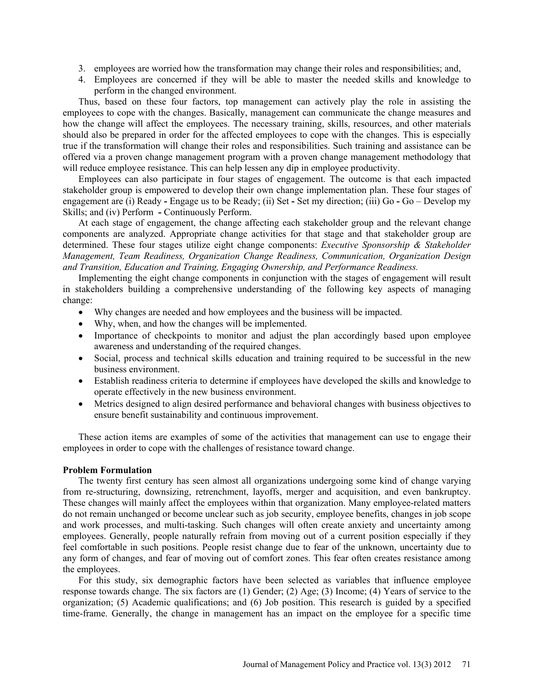- 3. employees are worried how the transformation may change their roles and responsibilities; and,
- 4. Employees are concerned if they will be able to master the needed skills and knowledge to perform in the changed environment.

Thus, based on these four factors, top management can actively play the role in assisting the employees to cope with the changes. Basically, management can communicate the change measures and how the change will affect the employees. The necessary training, skills, resources, and other materials should also be prepared in order for the affected employees to cope with the changes. This is especially true if the transformation will change their roles and responsibilities. Such training and assistance can be offered via a proven change management program with a proven change management methodology that will reduce employee resistance. This can help lessen any dip in employee productivity.

Employees can also participate in four stages of engagement. The outcome is that each impacted stakeholder group is empowered to develop their own change implementation plan. These four stages of engagement are (i) Ready **-** Engage us to be Ready; (ii) Set **-** Set my direction; (iii) Go **-** Go – Develop my Skills; and (iv) Perform **-** Continuously Perform.

At each stage of engagement, the change affecting each stakeholder group and the relevant change components are analyzed. Appropriate change activities for that stage and that stakeholder group are determined. These four stages utilize eight change components: *Executive Sponsorship & Stakeholder Management, Team Readiness, Organization Change Readiness, Communication, Organization Design and Transition, Education and Training, Engaging Ownership, and Performance Readiness.*

Implementing the eight change components in conjunction with the stages of engagement will result in stakeholders building a comprehensive understanding of the following key aspects of managing change:

- Why changes are needed and how employees and the business will be impacted.
- Why, when, and how the changes will be implemented.
- Importance of checkpoints to monitor and adjust the plan accordingly based upon employee awareness and understanding of the required changes.
- Social, process and technical skills education and training required to be successful in the new business environment.
- Establish readiness criteria to determine if employees have developed the skills and knowledge to operate effectively in the new business environment.
- Metrics designed to align desired performance and behavioral changes with business objectives to ensure benefit sustainability and continuous improvement.

These action items are examples of some of the activities that management can use to engage their employees in order to cope with the challenges of resistance toward change.

## **Problem Formulation**

The twenty first century has seen almost all organizations undergoing some kind of change varying from re-structuring, downsizing, retrenchment, layoffs, merger and acquisition, and even bankruptcy. These changes will mainly affect the employees within that organization. Many employee-related matters do not remain unchanged or become unclear such as job security, employee benefits, changes in job scope and work processes, and multi-tasking. Such changes will often create anxiety and uncertainty among employees. Generally, people naturally refrain from moving out of a current position especially if they feel comfortable in such positions. People resist change due to fear of the unknown, uncertainty due to any form of changes, and fear of moving out of comfort zones. This fear often creates resistance among the employees.

For this study, six demographic factors have been selected as variables that influence employee response towards change. The six factors are (1) Gender; (2) Age; (3) Income; (4) Years of service to the organization; (5) Academic qualifications; and (6) Job position. This research is guided by a specified time-frame. Generally, the change in management has an impact on the employee for a specific time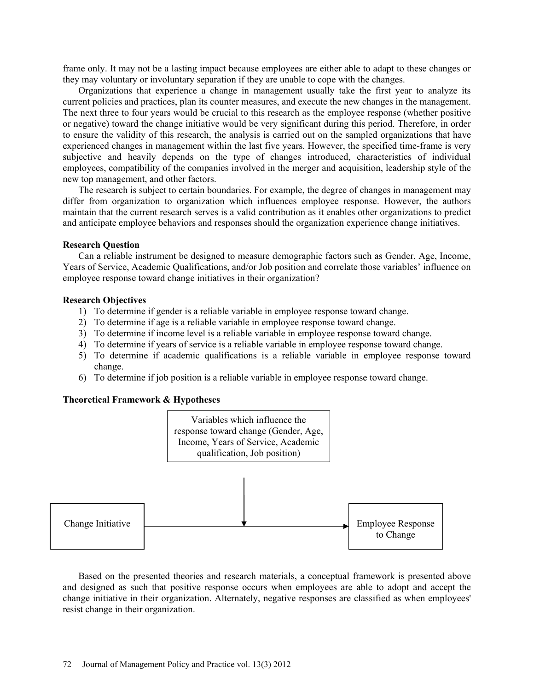frame only. It may not be a lasting impact because employees are either able to adapt to these changes or they may voluntary or involuntary separation if they are unable to cope with the changes.

Organizations that experience a change in management usually take the first year to analyze its current policies and practices, plan its counter measures, and execute the new changes in the management. The next three to four years would be crucial to this research as the employee response (whether positive or negative) toward the change initiative would be very significant during this period. Therefore, in order to ensure the validity of this research, the analysis is carried out on the sampled organizations that have experienced changes in management within the last five years. However, the specified time-frame is very subjective and heavily depends on the type of changes introduced, characteristics of individual employees, compatibility of the companies involved in the merger and acquisition, leadership style of the new top management, and other factors.

The research is subject to certain boundaries. For example, the degree of changes in management may differ from organization to organization which influences employee response. However, the authors maintain that the current research serves is a valid contribution as it enables other organizations to predict and anticipate employee behaviors and responses should the organization experience change initiatives.

## **Research Question**

Can a reliable instrument be designed to measure demographic factors such as Gender, Age, Income, Years of Service, Academic Qualifications, and/or Job position and correlate those variables' influence on employee response toward change initiatives in their organization?

### **Research Objectives**

- 1) To determine if gender is a reliable variable in employee response toward change.
- 2) To determine if age is a reliable variable in employee response toward change.
- 3) To determine if income level is a reliable variable in employee response toward change.
- 4) To determine if years of service is a reliable variable in employee response toward change.
- 5) To determine if academic qualifications is a reliable variable in employee response toward change.
- 6) To determine if job position is a reliable variable in employee response toward change.

## **Theoretical Framework & Hypotheses**



Based on the presented theories and research materials, a conceptual framework is presented above and designed as such that positive response occurs when employees are able to adopt and accept the change initiative in their organization. Alternately, negative responses are classified as when employees' resist change in their organization.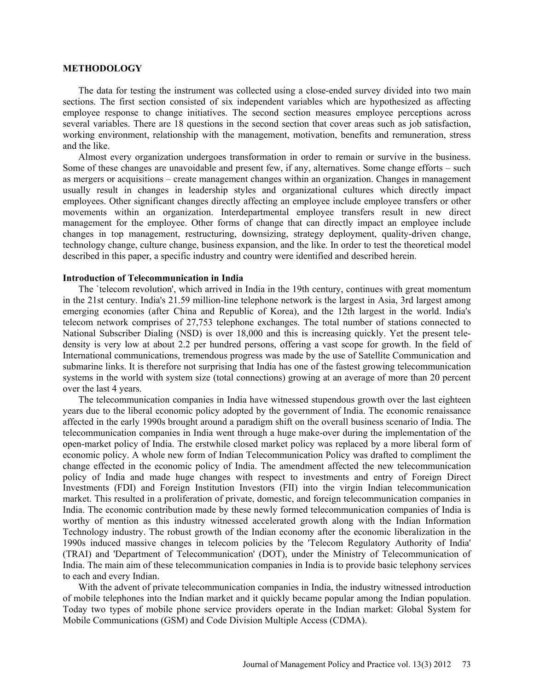#### **METHODOLOGY**

The data for testing the instrument was collected using a close-ended survey divided into two main sections. The first section consisted of six independent variables which are hypothesized as affecting employee response to change initiatives. The second section measures employee perceptions across several variables. There are 18 questions in the second section that cover areas such as job satisfaction, working environment, relationship with the management, motivation, benefits and remuneration, stress and the like.

Almost every organization undergoes transformation in order to remain or survive in the business. Some of these changes are unavoidable and present few, if any, alternatives. Some change efforts – such as mergers or acquisitions – create management changes within an organization. Changes in management usually result in changes in leadership styles and organizational cultures which directly impact employees. Other significant changes directly affecting an employee include employee transfers or other movements within an organization. Interdepartmental employee transfers result in new direct management for the employee. Other forms of change that can directly impact an employee include changes in top management, restructuring, downsizing, strategy deployment, quality-driven change, technology change, culture change, business expansion, and the like. In order to test the theoretical model described in this paper, a specific industry and country were identified and described herein.

### **Introduction of Telecommunication in India**

The `telecom revolution', which arrived in India in the 19th century, continues with great momentum in the 21st century. India's 21.59 million-line telephone network is the largest in Asia, 3rd largest among emerging economies (after China and Republic of Korea), and the 12th largest in the world. India's telecom network comprises of 27,753 telephone exchanges. The total number of stations connected to National Subscriber Dialing (NSD) is over 18,000 and this is increasing quickly. Yet the present teledensity is very low at about 2.2 per hundred persons, offering a vast scope for growth. In the field of International communications, tremendous progress was made by the use of Satellite Communication and submarine links. It is therefore not surprising that India has one of the fastest growing telecommunication systems in the world with system size (total connections) growing at an average of more than 20 percent over the last 4 years.

The telecommunication companies in India have witnessed stupendous growth over the last eighteen years due to the liberal economic policy adopted by the government of India. The economic renaissance affected in the early 1990s brought around a paradigm shift on the overall business scenario of India. The telecommunication companies in India went through a huge make-over during the implementation of the open-market policy of India. The erstwhile closed market policy was replaced by a more liberal form of economic policy. A whole new form of Indian Telecommunication Policy was drafted to compliment the change effected in the economic policy of India. The amendment affected the new telecommunication policy of India and made huge changes with respect to investments and entry of Foreign Direct Investments (FDI) and Foreign Institution Investors (FII) into the virgin Indian telecommunication market. This resulted in a proliferation of private, domestic, and foreign telecommunication companies in India. The economic contribution made by these newly formed telecommunication companies of India is worthy of mention as this industry witnessed accelerated growth along with the Indian Information Technology industry. The robust growth of the Indian economy after the economic liberalization in the 1990s induced massive changes in telecom policies by the 'Telecom Regulatory Authority of India' (TRAI) and 'Department of Telecommunication' (DOT), under the Ministry of Telecommunication of India. The main aim of these telecommunication companies in India is to provide basic telephony services to each and every Indian.

With the advent of private telecommunication companies in India, the industry witnessed introduction of mobile telephones into the Indian market and it quickly became popular among the Indian population. Today two types of mobile phone service providers operate in the Indian market: Global System for Mobile Communications (GSM) and Code Division Multiple Access (CDMA).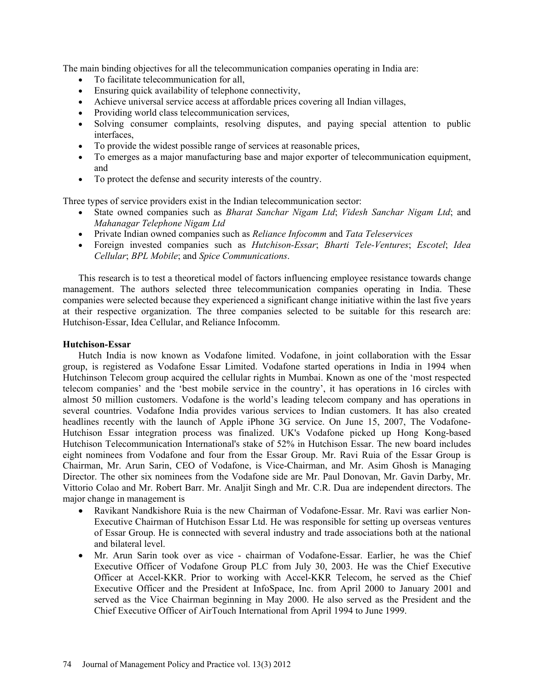The main binding objectives for all the telecommunication companies operating in India are:

- To facilitate telecommunication for all,
- Ensuring quick availability of telephone connectivity,
- Achieve universal service access at affordable prices covering all Indian villages,
- Providing world class telecommunication services,
- Solving consumer complaints, resolving disputes, and paying special attention to public interfaces,
- To provide the widest possible range of services at reasonable prices,
- To emerges as a major manufacturing base and major exporter of telecommunication equipment, and
- To protect the defense and security interests of the country.

Three types of service providers exist in the Indian telecommunication sector:

- State owned companies such as *Bharat Sanchar Nigam Ltd*; *Videsh Sanchar Nigam Ltd*; and *Mahanagar Telephone Nigam Ltd*
- Private Indian owned companies such as *Reliance Infocomm* and *Tata Teleservices*
- Foreign invested companies such as *Hutchison-Essar*; *Bharti Tele-Ventures*; *Escotel*; *Idea Cellular*; *BPL Mobile*; and *Spice Communications*.

This research is to test a theoretical model of factors influencing employee resistance towards change management. The authors selected three telecommunication companies operating in India. These companies were selected because they experienced a significant change initiative within the last five years at their respective organization. The three companies selected to be suitable for this research are: Hutchison-Essar, Idea Cellular, and Reliance Infocomm.

## **Hutchison-Essar**

Hutch India is now known as Vodafone limited. Vodafone, in joint collaboration with the Essar group, is registered as Vodafone Essar Limited. Vodafone started operations in India in 1994 when Hutchinson Telecom group acquired the cellular rights in Mumbai. Known as one of the 'most respected telecom companies' and the 'best mobile service in the country', it has operations in 16 circles with almost 50 million customers. Vodafone is the world's leading telecom company and has operations in several countries. Vodafone India provides various services to Indian customers. It has also created headlines recently with the launch of Apple iPhone 3G service. On June 15, 2007, The Vodafone-Hutchison Essar integration process was finalized. UK's Vodafone picked up Hong Kong-based Hutchison Telecommunication International's stake of 52% in Hutchison Essar. The new board includes eight nominees from Vodafone and four from the Essar Group. Mr. Ravi Ruia of the Essar Group is Chairman, Mr. Arun Sarin, CEO of Vodafone, is Vice-Chairman, and Mr. Asim Ghosh is Managing Director. The other six nominees from the Vodafone side are Mr. Paul Donovan, Mr. Gavin Darby, Mr. Vittorio Colao and Mr. Robert Barr. Mr. Analjit Singh and Mr. C.R. Dua are independent directors. The major change in management is

- Ravikant Nandkishore Ruia is the new Chairman of Vodafone-Essar. Mr. Ravi was earlier Non-Executive Chairman of Hutchison Essar Ltd. He was responsible for setting up overseas ventures of Essar Group. He is connected with several industry and trade associations both at the national and bilateral level.
- Mr. Arun Sarin took over as vice chairman of Vodafone-Essar. Earlier, he was the Chief Executive Officer of Vodafone Group PLC from July 30, 2003. He was the Chief Executive Officer at Accel-KKR. Prior to working with Accel-KKR Telecom, he served as the Chief Executive Officer and the President at InfoSpace, Inc. from April 2000 to January 2001 and served as the Vice Chairman beginning in May 2000. He also served as the President and the Chief Executive Officer of AirTouch International from April 1994 to June 1999.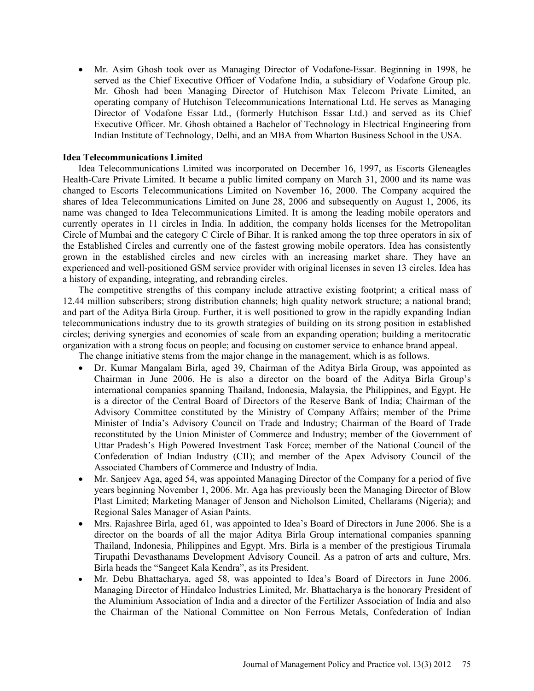• Mr. Asim Ghosh took over as Managing Director of Vodafone-Essar. Beginning in 1998, he served as the Chief Executive Officer of Vodafone India, a subsidiary of Vodafone Group plc. Mr. Ghosh had been Managing Director of Hutchison Max Telecom Private Limited, an operating company of Hutchison Telecommunications International Ltd. He serves as Managing Director of Vodafone Essar Ltd., (formerly Hutchison Essar Ltd.) and served as its Chief Executive Officer. Mr. Ghosh obtained a Bachelor of Technology in Electrical Engineering from Indian Institute of Technology, Delhi, and an MBA from Wharton Business School in the USA.

## **Idea Telecommunications Limited**

Idea Telecommunications Limited was incorporated on December 16, 1997, as Escorts Gleneagles Health-Care Private Limited. It became a public limited company on March 31, 2000 and its name was changed to Escorts Telecommunications Limited on November 16, 2000. The Company acquired the shares of Idea Telecommunications Limited on June 28, 2006 and subsequently on August 1, 2006, its name was changed to Idea Telecommunications Limited. It is among the leading mobile operators and currently operates in 11 circles in India. In addition, the company holds licenses for the Metropolitan Circle of Mumbai and the category C Circle of Bihar. It is ranked among the top three operators in six of the Established Circles and currently one of the fastest growing mobile operators. Idea has consistently grown in the established circles and new circles with an increasing market share. They have an experienced and well-positioned GSM service provider with original licenses in seven 13 circles. Idea has a history of expanding, integrating, and rebranding circles.

The competitive strengths of this company include attractive existing footprint; a critical mass of 12.44 million subscribers; strong distribution channels; high quality network structure; a national brand; and part of the Aditya Birla Group. Further, it is well positioned to grow in the rapidly expanding Indian telecommunications industry due to its growth strategies of building on its strong position in established circles; deriving synergies and economies of scale from an expanding operation; building a meritocratic organization with a strong focus on people; and focusing on customer service to enhance brand appeal.

The change initiative stems from the major change in the management, which is as follows.

- Dr. Kumar Mangalam Birla, aged 39, Chairman of the Aditya Birla Group, was appointed as Chairman in June 2006. He is also a director on the board of the Aditya Birla Group's international companies spanning Thailand, Indonesia, Malaysia, the Philippines, and Egypt. He is a director of the Central Board of Directors of the Reserve Bank of India; Chairman of the Advisory Committee constituted by the Ministry of Company Affairs; member of the Prime Minister of India's Advisory Council on Trade and Industry; Chairman of the Board of Trade reconstituted by the Union Minister of Commerce and Industry; member of the Government of Uttar Pradesh's High Powered Investment Task Force; member of the National Council of the Confederation of Indian Industry (CII); and member of the Apex Advisory Council of the Associated Chambers of Commerce and Industry of India.
- Mr. Sanjeev Aga, aged 54, was appointed Managing Director of the Company for a period of five years beginning November 1, 2006. Mr. Aga has previously been the Managing Director of Blow Plast Limited; Marketing Manager of Jenson and Nicholson Limited, Chellarams (Nigeria); and Regional Sales Manager of Asian Paints.
- Mrs. Rajashree Birla, aged 61, was appointed to Idea's Board of Directors in June 2006. She is a director on the boards of all the major Aditya Birla Group international companies spanning Thailand, Indonesia, Philippines and Egypt. Mrs. Birla is a member of the prestigious Tirumala Tirupathi Devasthanams Development Advisory Council. As a patron of arts and culture, Mrs. Birla heads the "Sangeet Kala Kendra", as its President.
- Mr. Debu Bhattacharya, aged 58, was appointed to Idea's Board of Directors in June 2006. Managing Director of Hindalco Industries Limited, Mr. Bhattacharya is the honorary President of the Aluminium Association of India and a director of the Fertilizer Association of India and also the Chairman of the National Committee on Non Ferrous Metals, Confederation of Indian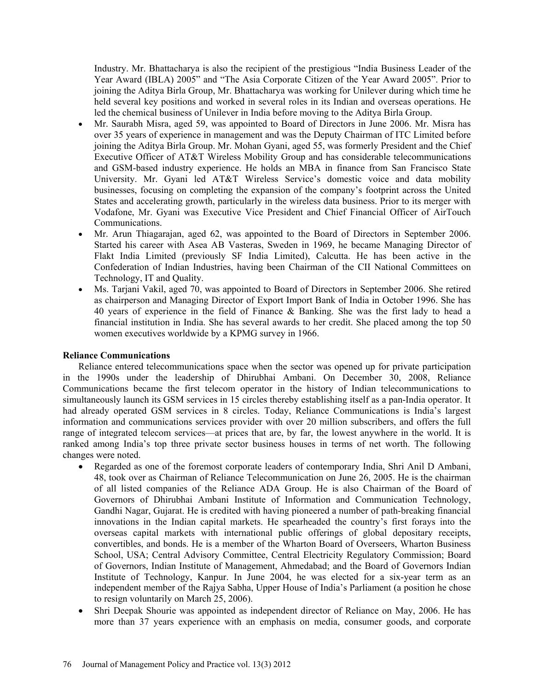Industry. Mr. Bhattacharya is also the recipient of the prestigious "India Business Leader of the Year Award (IBLA) 2005" and "The Asia Corporate Citizen of the Year Award 2005". Prior to joining the Aditya Birla Group, Mr. Bhattacharya was working for Unilever during which time he held several key positions and worked in several roles in its Indian and overseas operations. He led the chemical business of Unilever in India before moving to the Aditya Birla Group.

- Mr. Saurabh Misra, aged 59, was appointed to Board of Directors in June 2006. Mr. Misra has over 35 years of experience in management and was the Deputy Chairman of ITC Limited before joining the Aditya Birla Group. Mr. Mohan Gyani, aged 55, was formerly President and the Chief Executive Officer of AT&T Wireless Mobility Group and has considerable telecommunications and GSM-based industry experience. He holds an MBA in finance from San Francisco State University. Mr. Gyani led AT&T Wireless Service's domestic voice and data mobility businesses, focusing on completing the expansion of the company's footprint across the United States and accelerating growth, particularly in the wireless data business. Prior to its merger with Vodafone, Mr. Gyani was Executive Vice President and Chief Financial Officer of AirTouch Communications.
- Mr. Arun Thiagarajan, aged 62, was appointed to the Board of Directors in September 2006. Started his career with Asea AB Vasteras, Sweden in 1969, he became Managing Director of Flakt India Limited (previously SF India Limited), Calcutta. He has been active in the Confederation of Indian Industries, having been Chairman of the CII National Committees on Technology, IT and Quality.
- Ms. Tarjani Vakil, aged 70, was appointed to Board of Directors in September 2006. She retired as chairperson and Managing Director of Export Import Bank of India in October 1996. She has 40 years of experience in the field of Finance & Banking. She was the first lady to head a financial institution in India. She has several awards to her credit. She placed among the top 50 women executives worldwide by a KPMG survey in 1966.

# **Reliance Communications**

Reliance entered telecommunications space when the sector was opened up for private participation in the 1990s under the leadership of Dhirubhai Ambani. On December 30, 2008, Reliance Communications became the first telecom operator in the history of Indian telecommunications to simultaneously launch its GSM services in 15 circles thereby establishing itself as a pan-India operator. It had already operated GSM services in 8 circles. Today, Reliance Communications is India's largest information and communications services provider with over 20 million subscribers, and offers the full range of integrated telecom services—at prices that are, by far, the lowest anywhere in the world. It is ranked among India's top three private sector business houses in terms of net worth. The following changes were noted.

- Regarded as one of the foremost corporate leaders of contemporary India, Shri Anil D Ambani, 48, took over as Chairman of Reliance Telecommunication on June 26, 2005. He is the chairman of all listed companies of the Reliance ADA Group. He is also Chairman of the Board of Governors of Dhirubhai Ambani Institute of Information and Communication Technology, Gandhi Nagar, Gujarat. He is credited with having pioneered a number of path-breaking financial innovations in the Indian capital markets. He spearheaded the country's first forays into the overseas capital markets with international public offerings of global depositary receipts, convertibles, and bonds. He is a member of the Wharton Board of Overseers, Wharton Business School, USA; Central Advisory Committee, Central Electricity Regulatory Commission; Board of Governors, Indian Institute of Management, Ahmedabad; and the Board of Governors Indian Institute of Technology, Kanpur. In June 2004, he was elected for a six-year term as an independent member of the Rajya Sabha, Upper House of India's Parliament (a position he chose to resign voluntarily on March 25, 2006).
- Shri Deepak Shourie was appointed as independent director of Reliance on May, 2006. He has more than 37 years experience with an emphasis on media, consumer goods, and corporate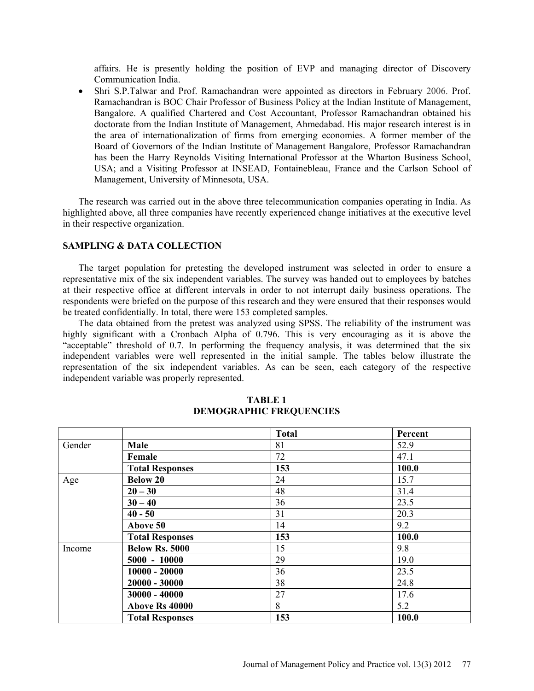affairs. He is presently holding the position of EVP and managing director of Discovery Communication India.

• Shri S.P.Talwar and Prof. Ramachandran were appointed as directors in February 2006. Prof. Ramachandran is BOC Chair Professor of Business Policy at the Indian Institute of Management, Bangalore. A qualified Chartered and Cost Accountant, Professor Ramachandran obtained his doctorate from the Indian Institute of Management, Ahmedabad. His major research interest is in the area of internationalization of firms from emerging economies. A former member of the Board of Governors of the Indian Institute of Management Bangalore, Professor Ramachandran has been the Harry Reynolds Visiting International Professor at the Wharton Business School, USA; and a Visiting Professor at INSEAD, Fontainebleau, France and the Carlson School of Management, University of Minnesota, USA.

The research was carried out in the above three telecommunication companies operating in India. As highlighted above, all three companies have recently experienced change initiatives at the executive level in their respective organization.

# **SAMPLING & DATA COLLECTION**

The target population for pretesting the developed instrument was selected in order to ensure a representative mix of the six independent variables. The survey was handed out to employees by batches at their respective office at different intervals in order to not interrupt daily business operations. The respondents were briefed on the purpose of this research and they were ensured that their responses would be treated confidentially. In total, there were 153 completed samples.

The data obtained from the pretest was analyzed using SPSS. The reliability of the instrument was highly significant with a Cronbach Alpha of 0.796. This is very encouraging as it is above the "acceptable" threshold of 0.7. In performing the frequency analysis, it was determined that the six independent variables were well represented in the initial sample. The tables below illustrate the representation of the six independent variables. As can be seen, each category of the respective independent variable was properly represented.

|        |                        | <b>Total</b> | Percent |
|--------|------------------------|--------------|---------|
| Gender | <b>Male</b>            | 81           | 52.9    |
|        | Female                 | 72           | 47.1    |
|        | <b>Total Responses</b> | 153          | 100.0   |
| Age    | <b>Below 20</b>        | 24           | 15.7    |
|        | $20 - 30$              | 48           | 31.4    |
|        | $30 - 40$              | 36           | 23.5    |
|        | $40 - 50$              | 31           | 20.3    |
|        | Above 50               | 14           | 9.2     |
|        | <b>Total Responses</b> | 153          | 100.0   |
| Income | <b>Below Rs. 5000</b>  | 15           | 9.8     |
|        | $5000 - 10000$         | 29           | 19.0    |
|        | $10000 - 20000$        | 36           | 23.5    |
|        | $20000 - 30000$        | 38           | 24.8    |
|        | $30000 - 40000$        | 27           | 17.6    |
|        | Above Rs 40000         | 8            | 5.2     |
|        | <b>Total Responses</b> | 153          | 100.0   |

#### **TABLE 1 DEMOGRAPHIC FREQUENCIES**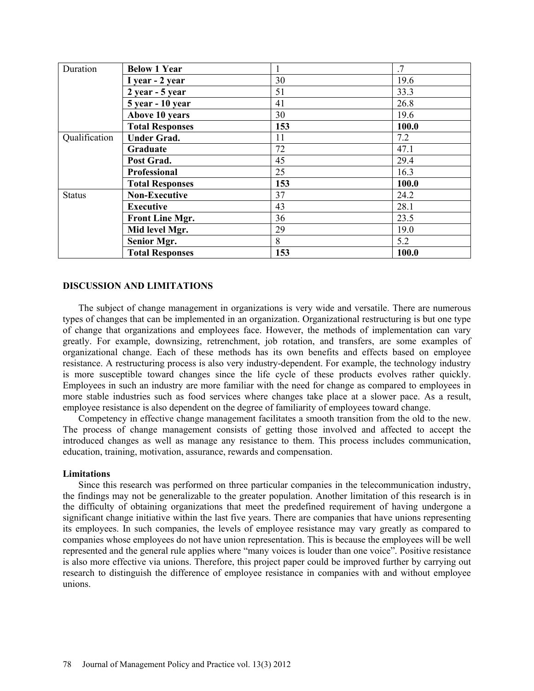| Duration      | <b>Below 1 Year</b>    |     | .7    |
|---------------|------------------------|-----|-------|
|               | I year - 2 year        | 30  | 19.6  |
|               | 2 year - 5 year        | 51  | 33.3  |
|               | 5 year - 10 year       | 41  | 26.8  |
|               | Above 10 years         | 30  | 19.6  |
|               | <b>Total Responses</b> | 153 | 100.0 |
| Qualification | <b>Under Grad.</b>     | 11  | 7.2   |
|               | Graduate               | 72  | 47.1  |
|               | Post Grad.             | 45  | 29.4  |
|               | Professional           | 25  | 16.3  |
|               | <b>Total Responses</b> | 153 | 100.0 |
| <b>Status</b> | <b>Non-Executive</b>   | 37  | 24.2  |
|               | <b>Executive</b>       | 43  | 28.1  |
|               | <b>Front Line Mgr.</b> | 36  | 23.5  |
|               | Mid level Mgr.         | 29  | 19.0  |
|               | <b>Senior Mgr.</b>     | 8   | 5.2   |
|               | <b>Total Responses</b> | 153 | 100.0 |

# **DISCUSSION AND LIMITATIONS**

The subject of change management in organizations is very wide and versatile. There are numerous types of changes that can be implemented in an organization. Organizational restructuring is but one type of change that organizations and employees face. However, the methods of implementation can vary greatly. For example, downsizing, retrenchment, job rotation, and transfers, are some examples of organizational change. Each of these methods has its own benefits and effects based on employee resistance. A restructuring process is also very industry-dependent. For example, the technology industry is more susceptible toward changes since the life cycle of these products evolves rather quickly. Employees in such an industry are more familiar with the need for change as compared to employees in more stable industries such as food services where changes take place at a slower pace. As a result, employee resistance is also dependent on the degree of familiarity of employees toward change.

Competency in effective change management facilitates a smooth transition from the old to the new. The process of change management consists of getting those involved and affected to accept the introduced changes as well as manage any resistance to them. This process includes communication, education, training, motivation, assurance, rewards and compensation.

#### **Limitations**

Since this research was performed on three particular companies in the telecommunication industry, the findings may not be generalizable to the greater population. Another limitation of this research is in the difficulty of obtaining organizations that meet the predefined requirement of having undergone a significant change initiative within the last five years. There are companies that have unions representing its employees. In such companies, the levels of employee resistance may vary greatly as compared to companies whose employees do not have union representation. This is because the employees will be well represented and the general rule applies where "many voices is louder than one voice". Positive resistance is also more effective via unions. Therefore, this project paper could be improved further by carrying out research to distinguish the difference of employee resistance in companies with and without employee unions.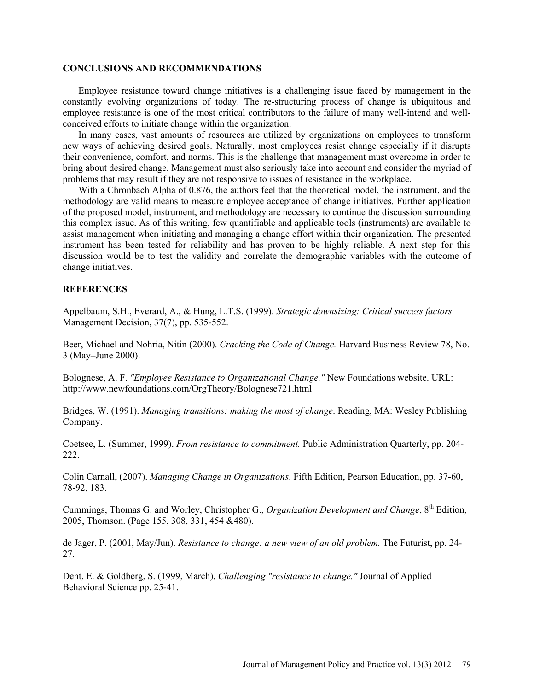#### **CONCLUSIONS AND RECOMMENDATIONS**

Employee resistance toward change initiatives is a challenging issue faced by management in the constantly evolving organizations of today. The re-structuring process of change is ubiquitous and employee resistance is one of the most critical contributors to the failure of many well-intend and wellconceived efforts to initiate change within the organization.

In many cases, vast amounts of resources are utilized by organizations on employees to transform new ways of achieving desired goals. Naturally, most employees resist change especially if it disrupts their convenience, comfort, and norms. This is the challenge that management must overcome in order to bring about desired change. Management must also seriously take into account and consider the myriad of problems that may result if they are not responsive to issues of resistance in the workplace.

With a Chronbach Alpha of 0.876, the authors feel that the theoretical model, the instrument, and the methodology are valid means to measure employee acceptance of change initiatives. Further application of the proposed model, instrument, and methodology are necessary to continue the discussion surrounding this complex issue. As of this writing, few quantifiable and applicable tools (instruments) are available to assist management when initiating and managing a change effort within their organization. The presented instrument has been tested for reliability and has proven to be highly reliable. A next step for this discussion would be to test the validity and correlate the demographic variables with the outcome of change initiatives.

# **REFERENCES**

Appelbaum, S.H., Everard, A., & Hung, L.T.S. (1999). *Strategic downsizing: Critical success factors.* Management Decision, 37(7), pp. 535-552.

Beer, Michael and Nohria, Nitin (2000). *Cracking the Code of Change.* Harvard Business Review 78, No. 3 (May–June 2000).

Bolognese, A. F. *"Employee Resistance to Organizational Change."* New Foundations website. URL: http://www.newfoundations.com/OrgTheory/Bolognese721.html

Bridges, W. (1991). *Managing transitions: making the most of change*. Reading, MA: Wesley Publishing Company.

Coetsee, L. (Summer, 1999). *From resistance to commitment.* Public Administration Quarterly, pp. 204- 222.

Colin Carnall, (2007). *Managing Change in Organizations*. Fifth Edition, Pearson Education, pp. 37-60, 78-92, 183.

Cummings, Thomas G. and Worley, Christopher G., *Organization Development and Change*, 8<sup>th</sup> Edition, 2005, Thomson. (Page 155, 308, 331, 454 &480).

de Jager, P. (2001, May/Jun). *Resistance to change: a new view of an old problem.* The Futurist, pp. 24- 27.

Dent, E. & Goldberg, S. (1999, March). *Challenging "resistance to change."* Journal of Applied Behavioral Science pp. 25-41.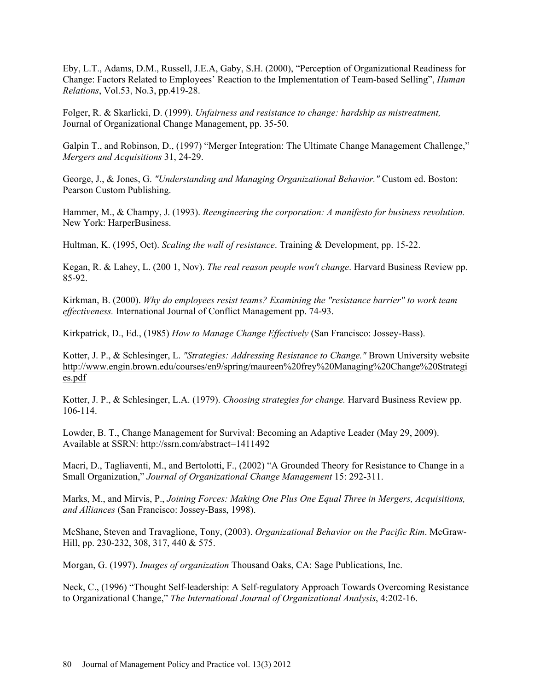Eby, L.T., Adams, D.M., Russell, J.E.A, Gaby, S.H. (2000), "Perception of Organizational Readiness for Change: Factors Related to Employees' Reaction to the Implementation of Team-based Selling", *Human Relations*, Vol.53, No.3, pp.419-28.

Folger, R. & Skarlicki, D. (1999). *Unfairness and resistance to change: hardship as mistreatment,* Journal of Organizational Change Management, pp. 35-50.

Galpin T., and Robinson, D., (1997) "Merger Integration: The Ultimate Change Management Challenge," *Mergers and Acquisitions* 31, 24-29.

George, J., & Jones, G. *"Understanding and Managing Organizational Behavior."* Custom ed. Boston: Pearson Custom Publishing.

Hammer, M., & Champy, J. (1993). *Reengineering the corporation: A manifesto for business revolution.* New York: HarperBusiness.

Hultman, K. (1995, Oct). *Scaling the wall of resistance*. Training & Development, pp. 15-22.

Kegan, R. & Lahey, L. (200 1, Nov). *The real reason people won't change*. Harvard Business Review pp. 85-92.

Kirkman, B. (2000). *Why do employees resist teams? Examining the "resistance barrier" to work team effectiveness.* International Journal of Conflict Management pp. 74-93.

Kirkpatrick, D., Ed., (1985) *How to Manage Change Effectively* (San Francisco: Jossey-Bass).

Kotter, J. P., & Schlesinger, L. *"Strategies: Addressing Resistance to Change."* Brown University website http://www.engin.brown.edu/courses/en9/spring/maureen%20frey%20Managing%20Change%20Strategi es.pdf

Kotter, J. P., & Schlesinger, L.A. (1979). *Choosing strategies for change.* Harvard Business Review pp. 106-114.

Lowder, B. T., Change Management for Survival: Becoming an Adaptive Leader (May 29, 2009). Available at SSRN: http://ssrn.com/abstract=1411492

Macri, D., Tagliaventi, M., and Bertolotti, F., (2002) "A Grounded Theory for Resistance to Change in a Small Organization," *Journal of Organizational Change Management* 15: 292-311.

Marks, M., and Mirvis, P., *Joining Forces: Making One Plus One Equal Three in Mergers, Acquisitions, and Alliances* (San Francisco: Jossey-Bass, 1998).

McShane, Steven and Travaglione, Tony, (2003). *Organizational Behavior on the Pacific Rim*. McGraw-Hill, pp. 230-232, 308, 317, 440 & 575.

Morgan, G. (1997). *Images of organization* Thousand Oaks, CA: Sage Publications, Inc.

Neck, C., (1996) "Thought Self-leadership: A Self-regulatory Approach Towards Overcoming Resistance to Organizational Change," *The International Journal of Organizational Analysis*, 4:202-16.